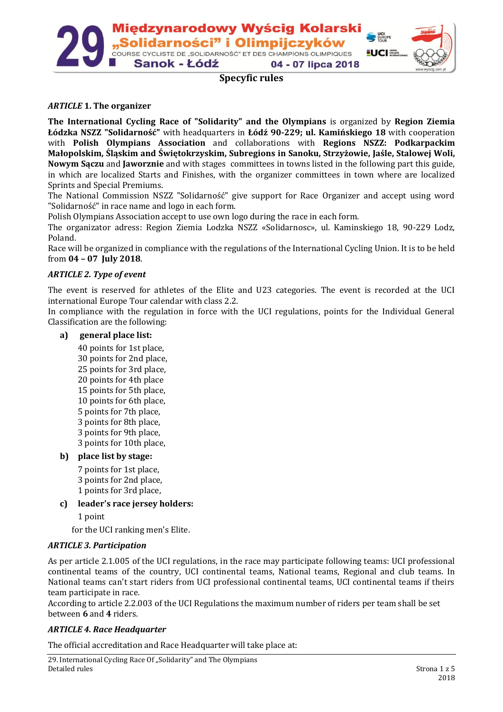

## **Specyfic rules**

### *ARTICLE* **1. The organizer**

**The International Cycling Race of "Solidarity" and the Olympians** is organized by **Region Ziemia Łódzka NSZZ "Solidarność"** with headquarters in **Łódź 90-229; ul. Kamińskiego 18** with cooperation with **Polish Olympians Association** and collaborations with **Regions NSZZ: Podkarpackim Małopolskim, Śląskim and Świętokrzyskim, Subregions in Sanoku, Strzyżowie, Jaśle, Stalowej Woli, Nowym Sączu** and **Jaworznie** and with stages committees in towns listed in the following part this guide, in which are localized Starts and Finishes, with the organizer committees in town where are localized Sprints and Special Premiums.

The National Commission NSZZ "Solidarność" give support for Race Organizer and accept using word "Solidarność" in race name and logo in each form.

Polish Olympians Association accept to use own logo during the race in each form.

The organizator adress: Region Ziemia Lodzka NSZZ «Solidarnosc», ul. Kaminskiego 18, 90-229 Lodz, Poland.

Race will be organized in compliance with the regulations of the International Cycling Union. It is to be held from **04 – 07 July 2018**.

### *ARTICLE 2. Type of event*

The event is reserved for athletes of the Elite and U23 categories. The event is recorded at the UCI international Europe Tour calendar with class 2.2.

In compliance with the regulation in force with the UCI regulations, points for the Individual General Classification are the following:

#### **a) general place list:**

40 points for 1st place, 30 points for 2nd place, 25 points for 3rd place, 20 points for 4th place 15 points for 5th place, 10 points for 6th place, 5 points for 7th place, 3 points for 8th place, 3 points for 9th place, 3 points for 10th place,

#### **b) place list by stage:**

7 points for 1st place, 3 points for 2nd place, 1 points for 3rd place,

**c) leader's race jersey holders:**

1 point

for the UCI ranking men's Elite.

### *ARTICLE 3. Participation*

As per article 2.1.005 of the UCI regulations, in the race may participate following teams: UCI professional continental teams of the country, UCI continental teams, National teams, Regional and club teams. In National teams can't start riders from UCI professional continental teams, UCI continental teams if theirs team participate in race.

According to article 2.2.003 of the UCI Regulations the maximum number of riders per team shall be set between **6** and **4** riders.

### *ARTICLE 4. Race Headquarter*

The official accreditation and Race Headquarter will take place at: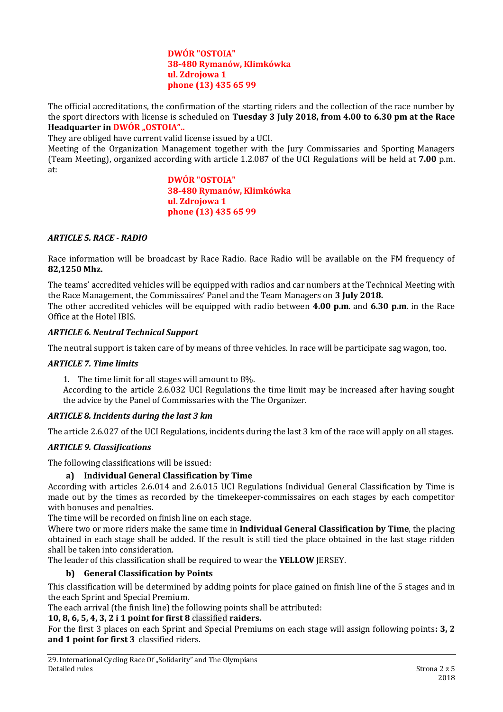### **DWÓR "OSTOIA" 38-480 Rymanów, Klimkówka ul. Zdrojowa 1 phone (13) 435 65 99**

The official accreditations, the confirmation of the starting riders and the collection of the race number by the sport directors with license is scheduled on **Tuesday 3 July 2018, from 4.00 to 6.30 pm at the Race Headquarter in DWÓR ..0STOIA"..** 

They are obliged have current valid license issued by a UCI.

Meeting of the Organization Management together with the Jury Commissaries and Sporting Managers (Team Meeting), organized according with article 1.2.087 of the UCI Regulations will be held at **7.00** p.m. at:

> **DWÓR "OSTOIA" 38-480 Rymanów, Klimkówka ul. Zdrojowa 1 phone (13) 435 65 99**

### *ARTICLE 5. RACE - RADIO*

Race information will be broadcast by Race Radio. Race Radio will be available on the FM frequency of **82,1250 Mhz.**

The teams' accredited vehicles will be equipped with radios and car numbers at the Technical Meeting with the Race Management, the Commissaires' Panel and the Team Managers on **3 July 2018.** The other accredited vehicles will be equipped with radio between **4.00 p.m**. and **6.30 p.m**. in the Race Office at the Hotel IBIS.

### *ARTICLE 6. Neutral Technical Support*

The neutral support is taken care of by means of three vehicles. In race will be participate sag wagon, too.

#### *ARTICLE 7. Time limits*

1. The time limit for all stages will amount to 8%.

According to the article 2.6.032 UCI Regulations the time limit may be increased after having sought the advice by the Panel of Commissaries with the The Organizer.

#### *ARTICLE 8. Incidents during the last 3 km*

The article 2.6.027 of the UCI Regulations, incidents during the last 3 km of the race will apply on all stages.

#### *ARTICLE 9. Classifications*

The following classifications will be issued:

### **a) Individual General Classification by Time**

According with articles 2.6.014 and 2.6.015 UCI Regulations Individual General Classification by Time is made out by the times as recorded by the timekeeper-commissaires on each stages by each competitor with bonuses and penalties.

The time will be recorded on finish line on each stage.

Where two or more riders make the same time in **Individual General Classification by Time**, the placing obtained in each stage shall be added. If the result is still tied the place obtained in the last stage ridden shall be taken into consideration.

The leader of this classification shall be required to wear the **YELLOW** JERSEY.

### **b) General Classification by Points**

This classification will be determined by adding points for place gained on finish line of the 5 stages and in the each Sprint and Special Premium.

The each arrival (the finish line) the following points shall be attributed:

## **10, 8, 6, 5, 4, 3, 2 i 1 point for first 8** classified **raiders.**

For the first 3 places on each Sprint and Special Premiums on each stage will assign following points**: 3, 2 and 1 point for first 3** classified riders.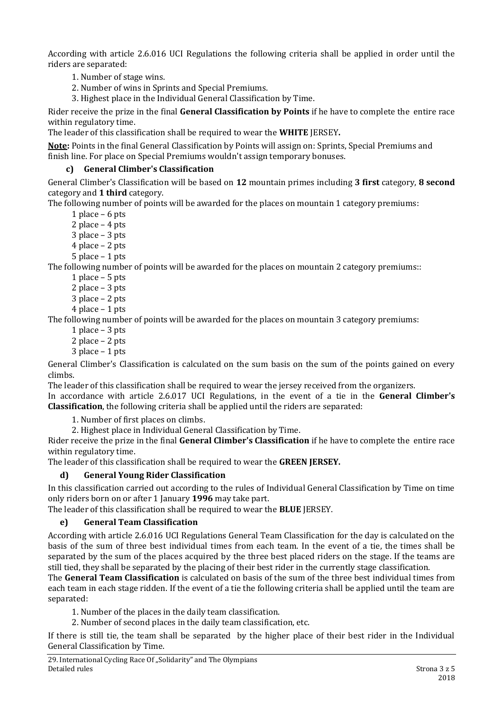According with article 2.6.016 UCI Regulations the following criteria shall be applied in order until the riders are separated:

1. Number of stage wins.

2. Number of wins in Sprints and Special Premiums.

3. Highest place in the Individual General Classification by Time.

Rider receive the prize in the final **General Classification by Points** if he have to complete the entire race within regulatory time.

The leader of this classification shall be required to wear the **WHITE** JERSEY**.**

**Note:** Points in the final General Classification by Points will assign on: Sprints, Special Premiums and finish line. For place on Special Premiums wouldn't assign temporary bonuses.

## **c) General Climber's Classification**

General Climber's Classification will be based on **12** mountain primes including **3 first** category, **8 second** category and **1 third** category.

The following number of points will be awarded for the places on mountain 1 category premiums:

1 place – 6 pts

2 place – 4 pts

3 place – 3 pts

4 place – 2 pts

5 place – 1 pts

The following number of points will be awarded for the places on mountain 2 category premiums::

- 1 place 5 pts
- 2 place 3 pts
- 3 place 2 pts
- 4 place 1 pts

The following number of points will be awarded for the places on mountain 3 category premiums:

- 1 place 3 pts
- 2 place 2 pts
- 3 place 1 pts

General Climber's Classification is calculated on the sum basis on the sum of the points gained on every climbs.

The leader of this classification shall be required to wear the jersey received from the organizers. In accordance with article 2.6.017 UCI Regulations, in the event of a tie in the **General Climber's Classification**, the following criteria shall be applied until the riders are separated:

1. Number of first places on climbs.

2. Highest place in Individual General Classification by Time.

Rider receive the prize in the final **General Climber's Classification** if he have to complete the entire race within regulatory time.

The leader of this classification shall be required to wear the **GREEN JERSEY.**

## **d) General Young Rider Classification**

In this classification carried out according to the rules of Individual General Classification by Time on time only riders born on or after 1 January **1996** may take part.

The leader of this classification shall be required to wear the **BLUE** JERSEY.

## **e) General Team Classification**

According with article 2.6.016 UCI Regulations General Team Classification for the day is calculated on the basis of the sum of three best individual times from each team. In the event of a tie, the times shall be separated by the sum of the places acquired by the three best placed riders on the stage. If the teams are still tied, they shall be separated by the placing of their best rider in the currently stage classification.

The **General Team Classification** is calculated on basis of the sum of the three best individual times from each team in each stage ridden. If the event of a tie the following criteria shall be applied until the team are separated:

- 1. Number of the places in the daily team classification.
- 2. Number of second places in the daily team classification, etc.

If there is still tie, the team shall be separated by the higher place of their best rider in the Individual General Classification by Time.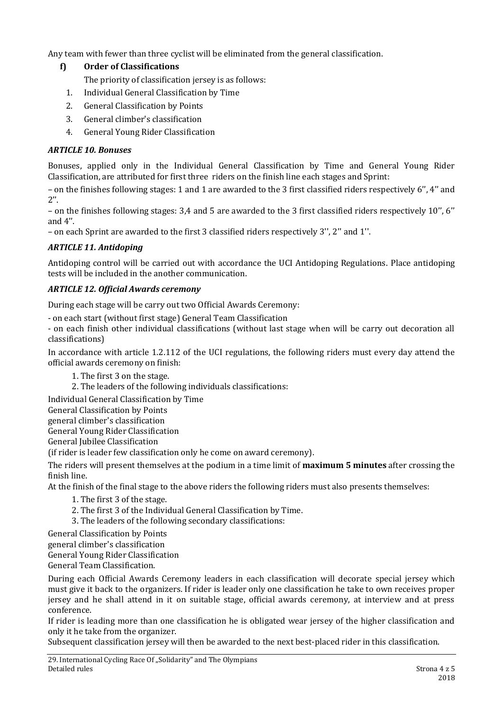Any team with fewer than three cyclist will be eliminated from the general classification.

# **f) Order of Classifications**

The priority of classification jersey is as follows:

- 1. Individual General Classification by Time
- 2. General Classification by Points
- 3. General climber's classification
- 4. General Young Rider Classification

## *ARTICLE 10. Bonuses*

Bonuses, applied only in the Individual General Classification by Time and General Young Rider Classification, are attributed for first three riders on the finish line each stages and Sprint:

– on the finishes following stages: 1 and 1 are awarded to the 3 first classified riders respectively 6'', 4'' and  $2''$ .

– on the finishes following stages: 3,4 and 5 are awarded to the 3 first classified riders respectively 10'', 6'' and 4''.

– on each Sprint are awarded to the first 3 classified riders respectively 3'', 2'' and 1''.

## *ARTICLE 11. Antidoping*

Antidoping control will be carried out with accordance the UCI Antidoping Regulations. Place antidoping tests will be included in the another communication.

## *ARTICLE 12. Official Awards ceremony*

During each stage will be carry out two Official Awards Ceremony:

- on each start (without first stage) General Team Classification

- on each finish other individual classifications (without last stage when will be carry out decoration all classifications)

In accordance with article 1.2.112 of the UCI regulations, the following riders must every day attend the official awards ceremony on finish:

- 1. The first 3 on the stage.
- 2. The leaders of the following individuals classifications:

Individual General Classification by Time

General Classification by Points

general climber's classification

General Young Rider Classification

General Jubilee Classification

(if rider is leader few classification only he come on award ceremony).

The riders will present themselves at the podium in a time limit of **maximum 5 minutes** after crossing the finish line.

At the finish of the final stage to the above riders the following riders must also presents themselves:

- 1. The first 3 of the stage.
- 2. The first 3 of the Individual General Classification by Time.
- 3. The leaders of the following secondary classifications:

General Classification by Points

general climber's classification

General Young Rider Classification

General Team Classification.

During each Official Awards Ceremony leaders in each classification will decorate special jersey which must give it back to the organizers. If rider is leader only one classification he take to own receives proper jersey and he shall attend in it on suitable stage, official awards ceremony, at interview and at press conference.

If rider is leading more than one classification he is obligated wear jersey of the higher classification and only it he take from the organizer.

Subsequent classification jersey will then be awarded to the next best-placed rider in this classification.